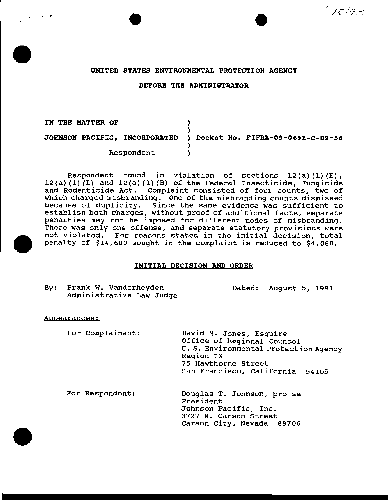# . . --;;·' - · /- *.:\_;,* . ~ ./ .,.., .. \_ )

#### UNITED STATES ENVIRONMENTAL PROTECTION AGENCY

#### BEFORE THE ADMINISTRATOR

IN THE MATTER OF  $)$ ) JOHNSON PACIFIC, INCORPORATED ) Docket No. FIFRA-09-0691-C-89-56 ) Respondent )

Respondent found *in* violation of sections 12(a) (1) (E),  $12(a) (1) (L)$  and  $12(a) (1) (B)$  of the Federal Insecticide, Fungicide and Rodenticide Act. Complaint consisted of four counts, two of which charged misbranding. One of the misbranding counts dismissed because of duplicity. Since the same evidence was sufficient to establish both charges, without proof of additional facts, separate penalties may not be imposed for different modes of misbranding. There was only one offense, and separate statutory provisions were not violated. For reasons stated in the initial decision, total penalty of \$14,600 sought in the complaint is reduced to \$4,080.

## INITIAL DECISION AND ORDER

| By: Frank W. Vanderheyden | Dated: August 5, 1993 |  |
|---------------------------|-----------------------|--|
| Administrative Law Judge  |                       |  |

#### Aopearances:

For Complainant:

David M. Jones, Esquire Office of Regional Counsel U. s. Environmental Protection Agency Region IX 75 Hawthorne Street San Francisco, California 94105

For Respondent:

Douglas T. Johnson, pro se President Johnson Pacific, Inc. 3727 N. Carson Street Carson City, Nevada 89706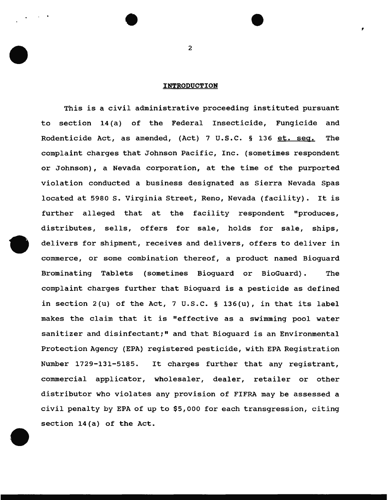## **INTRODUCTION**

This is a civil administrative proceeding instituted pursuant to section 14(a) of the Federal Insecticide, Fungicide and Rodenticide Act, as amended, (Act) 7 U.S.C. § 136 et. seg. The complaint charges that Johnson Pacific, Inc. (sometimes respondent or Johnson), a Nevada corporation, at the time of the purported violation conducted a business designated as Sierra Nevada Spas located at 5980 s. Virginia Street, Reno, Nevada (facility). It is further alleged that at the facility respondent "produces, distributes, sells, offers for sale, holds for sale, ships, delivers for shipment, receives and delivers, offers to deliver in commerce, or some combination thereof, a product named Bioguard Brominating Tablets (sometimes Bioguard or BioGuard). The complaint charges further that Bioguard is a pesticide as defined in section  $2(u)$  of the Act,  $7 \text{ U.S.C. }$  § 136(u), in that its label makes the claim that it is "effective as a swimming pool water sanitizer and disinfectant;" and that Bioguard is an Environmental Protection Agency (EPA) registered pesticide, with EPA Registration Number 1729-131-5185. It charges further that any registrant, commercial applicator, wholesaler, dealer, retailer or other distributor who violates any provision of FIFRA may be assessed a civil penalty by EPA of up to \$5,000 for each transgression, citing section 14(a) of the Act.

2

,

. .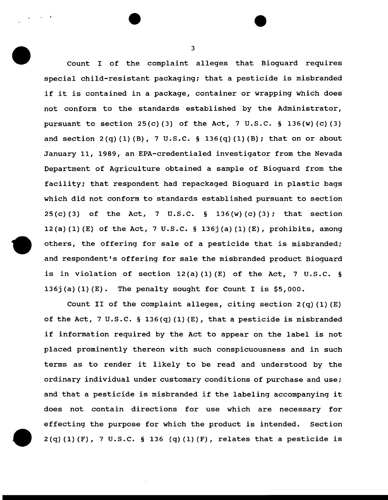Count I of the complaint alleges that Bioguard requires special child-resistant packaging; that a pesticide is misbranded if it is contained in a package, container or wrapping which does not conform to the standards established by the Administrator, pursuant to section  $25(c)(3)$  of the Act, 7 U.S.C. § 136(w)(c)(3) and section  $2(q)$  (1) (B), 7 U.S.C. § 136(q) (1) (B); that on or about January 11, 1989, an EPA-credentialed investigator from the Nevada Department of Agriculture obtained a sample of Bioguard from the facility; that respondent had repackaged Bioguard in plastic bags which did not conform to standards established pursuant to section  $25(c)$  (3) of the Act, 7 U.S.C. § 136(w) (c) (3); that section 12(a) (1) (E) of the Act, 7 U.S.C. § 136j(a) (1) (E), prohibits, among others, the offering for sale of a pesticide that is misbranded; and respondent's offering for sale the misbranded product Bioguard is in violation of section  $12(a)(1)(E)$  of the Act, 7 U.S.C. § 136j(a)  $(1)$  (E). The penalty sought for Count I is \$5,000.

Count II of the complaint alleges, citing section  $2(q)(1)(E)$ of the Act, 7 U.S.C. § 136(q)(1)(E), that a pesticide is misbranded if information required by the Act to appear on the label is not placed prominently thereon with such conspicuousness and in such terms as to render it likely to be read and understood by the ordinary individual under customary conditions of purchase and use; and that a pesticide is misbranded if the labeling accompanying it does not contain directions for use which are necessary for effecting the purpose for which the product is intended. Section  $2(q)$  (1) (F), 7 U.S.C. § 136 (q) (1) (F), relates that a pesticide is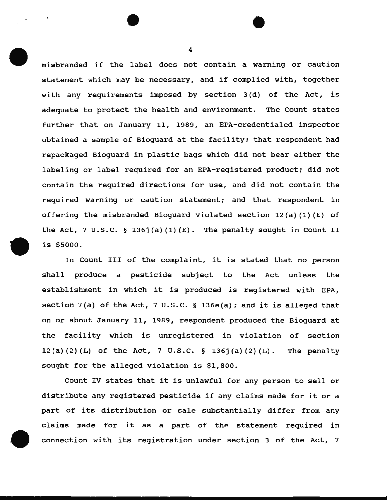misbranded if the label does not contain a warning or caution statement which may be necessary, and if complied with, together with any requirements imposed by section 3 (d) of the Act, is adequate to protect the health and environment. The Count states further that on January 11, 1989, an EPA-credentialed inspector obtained a sample of Bioguard at the facility; that respondent had repackaged Bioguard in plastic bags which did not bear either the labeling or label required for an EPA-registered product; did not contain the required directions for use, and did not contain the required warning or caution statement; and that respondent in offering the misbranded Bioquard violated section  $12(a)(1)(E)$  of the Act, 7 u.s.c. § 136j(a) (1) (E). The penalty sought in count II is \$5000.

In Count III of the complaint, it is stated that no person shall produce a pesticide subject to the Act unless the establishment in which it is produced is registered with EPA, section 7(a) of the Act, 7 U.S.C. § 136e(a); and it is alleged that on or about January 11, 1989, respondent produced the Bioguard at the facility which is unregistered in violation of section 12(a) (2) (L) of the Act, 7 U.S.C. § 136j(a) (2) (L). The penalty sought for the alleged violation is \$1,800.

Count IV states that it is unlawful for any person to sell or distribute any registered pesticide if any claims made for it or a part of its distribution or sale substantially differ from any claims made for it as a part of the statement required in connection with its registration under section 3 of the Act, 7

4

. .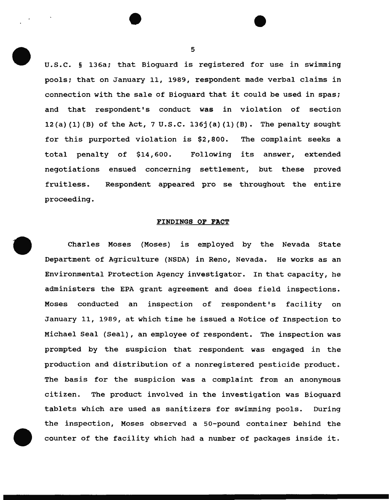u.s.c. § 136a; that Bioguard is registered for use in swimming pools; that on January 11, 1989, respondent made verbal claims in connection with the sale of Bioguard that it could be used in spas; and that respondent's conduct was in violation of section 12(a) (1) (B) of the Act, 7 u.s.c. 136j(a) (1) (B). The penalty sought for this purported violation is \$2,800. The complaint seeks a total penalty of \$14,600. Following its answer, extended negotiations ensued concerning settlement, but these proved fruitless. proceeding. Respondent appeared pro se throughout the entire

#### FINDINGS OP PACT

Charles Moses (Moses) is employed by the Nevada State Department of Agriculture (NSDA) in Reno, Nevada. He works as an Environmental Protection Agency investigator. In that capacity, he administers the EPA grant agreement and does field inspections. Moses conducted an inspection of respondent's facility on January 11, 1989, at which time he issued a Notice of Inspection to Michael Seal (Seal) , an employee of respondent. The inspection was prompted by the suspicion that respondent was engaged in the production and distribution of a nonregistered pesticide product. The basis for the suspicion was a complaint from an anonymous citizen. The product involved in the investigation was Bioguard tablets which are used as sanitizers for swimming pools. During the inspection, Moses observed a 50-pound container behind the counter of the facility which had a number of packages inside it.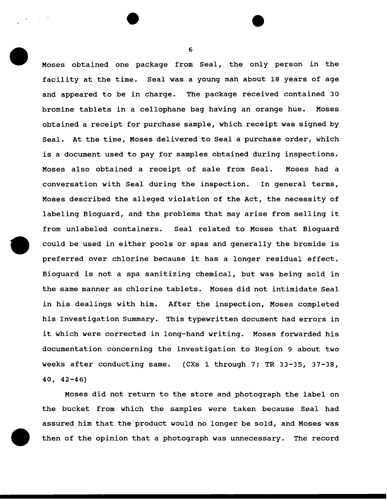Moses obtained one package from Seal, the only person in the facility at the time. Seal was a young man about 18 years of age and appeared to be in charge. The package received contained 30 bromine tablets in a cellophane bag having an orange hue. Moses obtained a receipt for purchase sample, which receipt was signed by Seal. At the time, Moses delivered to Seal a purchase order, which is a document used to pay for samples obtained during inspections. Moses also obtained a receipt of sale from Seal. Moses had a conversation with Seal during the inspection. In general terms, Moses described the alleged violation of the Act, the necessity of labeling Bioguard, and the problems that may arise from selling it from unlabeled containers. Seal related to Moses that Bioguard could be used in either pools or spas and generally the bromide is preferred over chlorine because it has a longer residual effect. Bioguard is not a spa sanitizing chemical, but was being sold in the same manner as chlorine tablets. Moses did not intimidate Seal in his dealings with him. After the inspection, Moses completed his Investigation Summary. This typewritten document had errors in it which were corrected in long-hand writing. Moses forwarded his documentation concerning the investigation to Region 9 about two weeks after conducting same. (CXs 1 through 7; TR 33-35, 37-38, 40, 42-46)

Moses did not return to the store and photograph the label on the bucket from which the samples were taken because Seal had assured him that the product would no longer be sold, and Moses was then of the opinion that a photograph was unnecessary. The record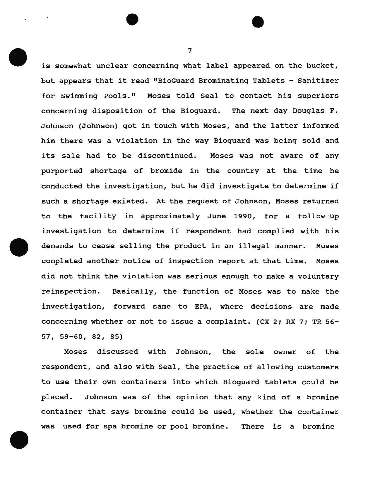is somewhat unclear concerning what label appeared on the bucket, but appears that it read "BioGuard Brominating Tablets - Sanitizer for Swimming Pools." Moses told Seal to contact his superiors concerning disposition of the Bioguard. The next day Douglas F. Johnson {Johnson) got in touch with Moses, and the latter informed him there was a violation in the way Bioguard was being sold and its sale had to be discontinued. Moses was not aware of any purported shortage of bromide in the country at the time he conducted the investigation, but he did investigate to determine if such a shortage existed. At the request of Johnson, Moses returned to the facility in approximately June 1990, for a follow-up investigation to determine if respondent had complied with his demands to cease selling the product in an illegal manner. Moses completed another notice of inspection report at that time. Moses did not think the violation was serious enough to make a voluntary reinspection. Basically, the function of Moses was to make the investigation, forward same to EPA, where decisions are made concerning whether or not to issue a complaint. (CX 2; RX 7; TR 56- 57,59-60,82, 85)

Moses discussed with Johnson, the sole owner of the respondent, and also with Seal, the practice of allowing customers to use their own containers into which Bioguard tablets could be placed. Johnson was of the opinion that any kind of a bromine container that says bromine could be used, whether the container was used for spa bromine or pool bromine. There is a bromine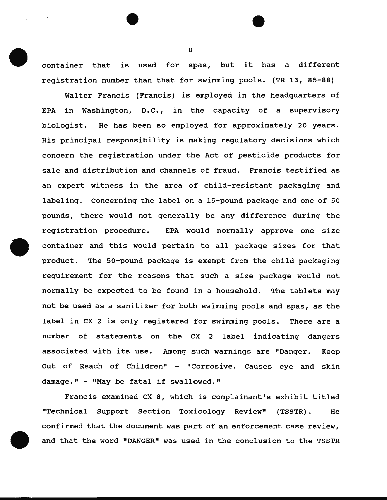container that is used for spas, but it has a different registration number than that for swimming pools. (TR 13, 85-88)

Walter Francis (Francis) is employed in the headquarters of EPA in Washington, D.C., in the capacity of a supervisory biologist. He has been so employed for approximately 20 years. His principal responsibility is making regulatory decisions which concern the registration under the Act of pesticide products for sale and distribution and channels of fraud. Francis testified as an expert witness in the area of child-resistant packaging and labeling. Concerning the label on a 15-pound package and one of 50 pounds, there would not generally be any difference during the registration procedure. EPA would normally approve one size container and this would pertain to all package sizes for that product. The 50-pound package is exempt from the child packaging requirement for the reasons that such a size package would not normally be expected to be found in a household. The tablets may not be used as a sanitizer for both swimming pools and spas, as the label in ex 2 is only registered for swimming pools. There are a number of statements on the ex 2 label indicating dangers associated with its use. Among such warnings are "Danger. Keep Out of Reach of Children" - "Corrosive. Causes eye and skin damage." - "May be fatal if swallowed."

Francis examined CX 8, which is complainant's exhibit titled "Technical Support Section Toxicology Review" {TSSTR). He confirmed that the document was part of an enforcement case review, and that the word "DANGER" was used in the conclusion to the TSSTR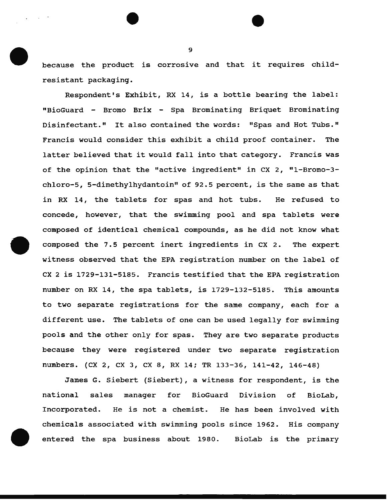because the product is corrosive and that it requires childresistant packaging.

Respondent's Exhibit, RX 14, is a bottle bearing the label: "BioGuard - Bromo Brix - Spa Brominating Briquet Brominating Disinfectant." It also contained the words: "Spas and Hot Tubs." Francis would consider this exhibit a child proof container. The latter believed that it would fall into that category. Francis was of the opinion that the "active ingredient" in CX 2, "1-Bromo-3chloro-5, 5-dimethylhydantoin" of 92.5 percent, is the same as that in RX 14, the tablets for spas and hot tubs. He refused to concede, however, that the swimming pool and spa tablets were composed of identical chemical compounds, as he did not know what composed the 7.5 percent inert ingredients in CX 2. The expert witness observed that the EPA registration number on the label of ex 2 is 1729-131-5185. Francis testified that the EPA registration number on RX 14, the spa tablets, is 1729-132-5185. This amounts to two separate registrations for the same company, each for a different use. The tablets of one can be used legally for swimming pools and the other only for spas. They are two separate products because they were registered under two separate registration numbers. (ex 2, ex 3, ex 8, RX 14; TR 133-36, 141-42, 146-48)

James G. Siebert (Siebert), a witness for respondent, is the national sales manager for BioGuard Division of BioLab, Incorporated. He is not a chemist. He has been involved with chemicals associated with swimming pools since 1962. His company entered the spa business about 1980. BioLab is the primary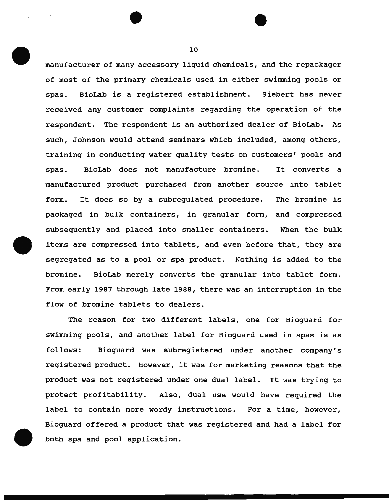manufacturer of many accessory liquid chemicals, and the repackager of most of the primary chemicals used in either swimming pools or spas. BioLab is a registered establishment. Siebert has never received any customer complaints regarding the operation of the respondent. The respondent is an authorized dealer of BioLab. As such, Johnson would attend seminars which included, among others, training in conducting water quality tests on customers' pools and spas. BioLab does not manufacture bromine. It converts a manufactured product purchased from another source into tablet form. It does so by a subregulated procedure. The bromine is packaged in bulk containers, in granular form, and compressed subsequently and placed into smaller containers. When the bulk items are compressed into tablets, and even before that, they are segregated as to a pool or spa product. Nothing is added to the bromine. BioLab merely converts the granular into tablet form. From early 1987 through late 1988, there was an interruption in the flow of bromine tablets to dealers.

The reason for two different labels, one for Bioguard for swimming pools, and another label for Bioguard used in spas is as follows: Bioguard was subregistered under another company's registered product. However, it was for marketing reasons that the product was not registered under one dual label. It was trying to protect profitability. Also, dual use would have required the label to contain more wordy instructions. For a time, however, Bioguard offered a product that was registered and had a label for both spa and pool application.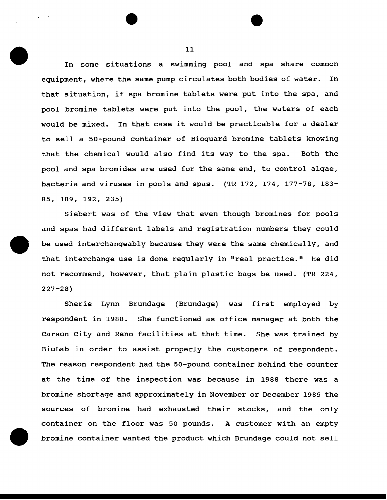In some situations a swimming pool and spa share common equipment, where the same pump circulates both bodies of water. In that situation, if spa bromine tablets were put into the spa, and pool bromine tablets were put into the pool, the waters of each would be mixed. In that case it would be practicable for a dealer to sell a 50-pound container of Bioguard bromine tablets knowing that the chemical would also find its way to the spa. Both the pool and spa bromides are used for the same end, to control algae, bacteria and viruses in pools and spas. (TR 172, 174, 177-78, 183- 85, 189, 192, 235)

Siebert was of the view that even though bromines for pools and spas had different labels and registration numbers they could be used interchangeably because they were the same chemically, and that interchange use is done regularly in "real practice." He did not recommend, however, that plain plastic bags be used. (TR 224, 227-28)

Sherie Lynn Brundage (Brundage) was first employed by respondent in 1988. She functioned as office manager at both the Carson City and Reno facilities at that time. She was trained by BioLab in order to assist properly the customers of respondent. The reason respondent had the 50-pound container behind the counter at the time of the inspection was because in 1988 there was a bromine shortage and approximately in November or December 1989 the sources of bromine had exhausted their stocks, and the only container on the floor was 50 pounds. A customer with an empty bromine container wanted the product which Brundage could not sell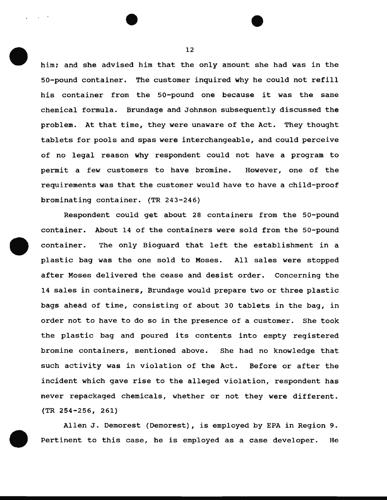him; and she advised him that the only amount she had was in the 50-pound container. The customer inquired why he could not refill his container from the 50-pound one because it was the same chemical formula. Brundage and Johnson subsequently discussed the problem. At that time, they were unaware of the Act. They thought tablets for pools and spas were interchangeable, and could perceive of no legal reason why respondent could not have a program to permit a few customers to have bromine. However, one of the requirements was that the customer would have to have a child-proof brominating container. (TR 243-246)

Respondent could get about 28 containers from the 50-pound container. About 14 of the containers were sold from the 50-pound container. The only Bioguard that left the establishment in a plastic bag was the one sold to Moses. All sales were stopped after Moses delivered the cease and desist order. Concerning the 14 sales in containers, Brundage would prepare two or three plastic bags ahead of time, consisting of about 30 tablets in the bag, in order not to have to do so in the presence of a customer. She took the plastic bag and poured its contents into empty registered bromine containers, mentioned above. She had no knowledge that such activity was in violation of the Act. Before or after the incident which gave rise to the alleged violation, respondent has never repackaged chemicals, whether or not they were different. (TR 254-256, 261)

Allen J. Demorest (Demorest), is employed by EPA in Region 9. Pertinent to this case, he is employed as a case developer. He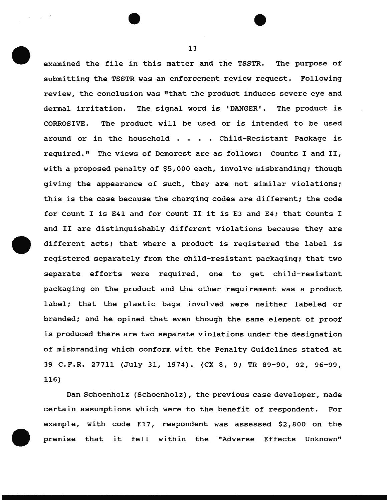examined the file in this matter and the TSSTR. The purpose of submitting the TSSTR was an enforcement review request. Following review, the conclusion was "that the product induces severe eye and dermal irritation. The signal word is 'DANGER'. The product is CORROSIVE. The product will be used or is intended to be used around or in the household . . . . Child-Resistant Package is required." The views of Demorest are as follows: counts I and II, with a proposed penalty of \$5,000 each, involve misbranding; though giving the appearance of such, they are not similar violations; this is the case because the charging codes are different; the code for Count I is E41 and for Count II it is E3 and E4; that Counts I and II are distinguishably different violations because they are different acts; that where a product is registered the label is registered separately from the child-resistant packaging; that two separate efforts were required, one to get child-resistant packaging on the product and the other requirement was a product label; that the plastic bags involved were neither labeled or branded; and he opined that even though the same element of proof is produced there are two separate violations under the designation of misbranding which conform with the Penalty Guidelines stated at 39 C.F.R. 27711 (July 31, 1974). (CX 8, 9; TR 89-90, 92, 96-99, 116)

Dan Schoenholz (Schoenholz), the previous case developer, made certain assumptions which were to the benefit of respondent. For example, with code E17, respondent was assessed \$2,800 on the premise that it fell within the "Adverse Effects Unknown"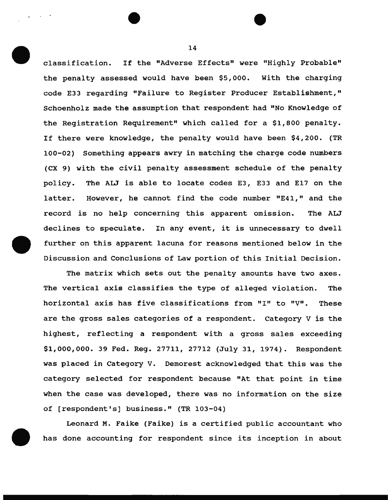classification. If the "Adverse Effects" were "Highly Probable" the penalty assessed would have been \$5,000. With the charging code E33 regarding "Failure to Register Producer Establishment," Schoenholz made the assumption that respondent had "No Knowledge of the Registration Requirement" which called for a \$1,800 penalty. If there were knowledge, the penalty would have been \$4,200. (TR 100-02) Something appears awry in matching the charge code numbers (CX 9) with the civil penalty assessment schedule of the penalty policy. The ALJ is able to locate codes E3, E33 and E17 on the latter. However, he cannot find the code number "E41," and the record is no help concerning this apparent omission. The ALJ declines to speculate. In any event, it is unnecessary to dwell further on this apparent lacuna for reasons mentioned below in the Discussion and Conclusions of Law portion of this Initial Decision.

The matrix which sets out the penalty amounts have two axes. The vertical axis classifies the type of alleged violation. The horizontal axis has five classifications from "I" to "V". These are the gross sales categories of a respondent. category V is the highest, reflecting a respondent with a gross sales exceeding \$1,000,000. 39 Fed. Reg. 27711, 27712 (July 31, 1974). Respondent was placed in Category V. Demorest acknowledged that this was the category selected for respondent because "At that point in time when the case was developed, there was no information on the size of [respondent's] business." (TR 103-04)

Leonard M. Faike (Faike) is a certified public accountant who has done accounting for respondent since its inception in about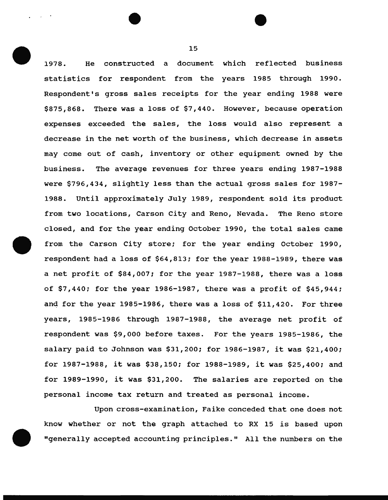1978. He constructed a document which reflected business statistics for respondent from the years 1985 through 1990. Respondent's gross sales receipts for the year ending 1988 were \$875,868. There was a loss of \$7,440. However, because operation expenses exceeded the sales, the loss would also represent a decrease in the net worth of the business, which decrease in assets may come out of cash, inventory or other equipment owned by the business. The average revenues for three years ending 1987-1988 were \$796,434, slightly less than the actual gross sales for 1987- 1988. Until approximately July 1989, respondent sold its product from two locations, Carson City and Reno, Nevada. The Reno store closed, and for the year ending October 1990, the total sales came from the Carson City store; for the year ending October 1990, respondent had a loss of \$64,813; for the year 1988-1989, there was a net profit of \$84,007; for the year 1987-1988, there was a loss of \$7,440; for the year 1986-1987, there was a profit of \$45,944; and for the year 1985-1986, there was a loss of \$11,420. For three years, 1985-1986 through 1987-1988, the average net profit of respondent was \$9,000 before taxes. For the years 1985-1986, the salary paid to Johnson was \$31,200; for 1986-1987, it was \$21,400; for 1987-1988, it was \$38,150; for 1988-1989, it was \$25,400; and for 1989-1990, it was \$31,200. The salaries are reported on the personal income tax return and treated as personal income.

Upon cross-examination, Faike conceded that one does not know whether or not the graph attached to RX 15 is based upon "generally accepted accounting principles." All the numbers on the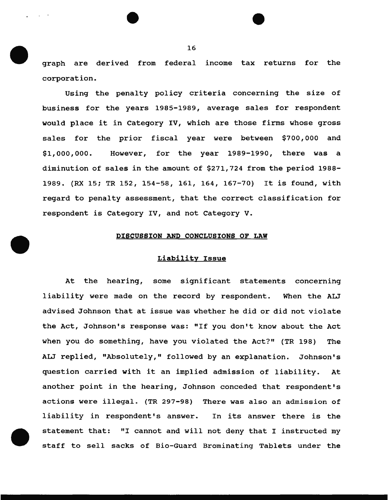graph are derived from federal income tax returns for the corporation.

Using the penalty policy criteria concerning the size of business for the years 1985-1989, average sales for respondent would place it in category IV, which are those firms whose gross sales for the prior fiscal year were between \$700,000 and \$1,000,000. However, for the year 1989-1990, there was a diminution of sales in the amount of \$271,724 from the period 1988- 1989. (RX 15; TR 152, 154-58, 161, 164, 167-70) It is found, with regard to penalty assessment, that the correct classification for respondent is Category IV, and not Category v.

## DISCUSSION AND CONCLUSIONS OF LAW

#### Liability Issue

At the hearing, some significant statements concerning liability were made on the record by respondent. When the ALJ advised Johnson that at issue was whether he did or did not violate the Act, Johnson's response was: "If you don't know about the Act when you do something, have you violated the Act?" (TR 198) The ALJ replied, "Absolutely," followed by an explanation. Johnson's question carried with it an implied admission of liability. At another point in the hearing, Johnson conceded that respondent's actions were illegal. (TR 297-98) There was also an admission of liability in respondent's answer. In its answer there is the statement that: "I cannot and will not deny that I instructed my staff to sell sacks of Bio-Guard Brominating Tablets under the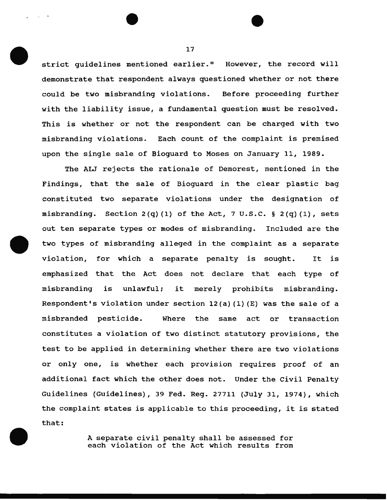strict quidelines mentioned earlier." However, the record will demonstrate that respondent always questioned whether or not there could be two misbranding violations. Before proceeding further with the liability issue, a fundamental question must be resolved. This is whether or not the respondent can be charged with two misbranding violations. Each count of the complaint is premised upon the single sale of Bioguard to Moses on January 11, 1989.

The ALJ rejects the rationale of Demorest, mentioned in the Findings, that the sale of Bioguard in the clear plastic bag constituted two separate violations under the designation of misbranding. Section  $2(q)$  (1) of the Act, 7 U.S.C. §  $2(q)$  (1), sets out ten separate types or modes of misbranding. Included are the two types of misbranding alleged in the complaint as a separate violation, for which a separate penalty is sought. It is emphasized that the Act does not declare that each type of misbranding is unlawful; it merely prohibits misbranding. Respondent's violation under section  $12(a)$  (1) (E) was the sale of a misbranded pesticide. Where the same act or transaction constitutes a violation of two distinct statutory provisions, the test to be applied in determining whether there are two violations or only one, is whether each provision requires proof of an additional fact which the other does not. Under the Civil Penalty Guidelines (Guidelines), 39 Fed. Reg. 27711 (July 31, 1974), which the complaint states is applicable to this proceeding, it is stated that:

> A separate civil penalty shall be assessed for each violation of the Act which results from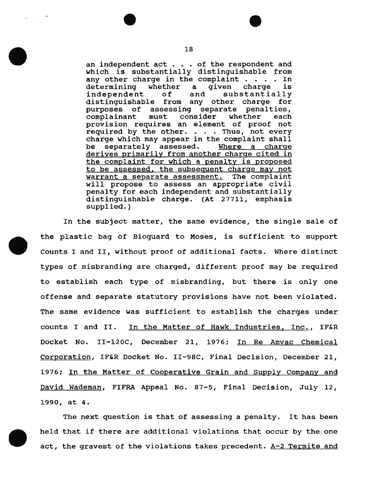an independent act . . . of the respondent and which is substantially distinguishable from any other charge in the complaint  $\ldots$ . In determining whether a given charge is determining whether a<br>independent of and substantially distinguishable from any other charge for purposes of assessing separate penalties, complainant must consider whether each provision requires an element of proof not required by the other. . . . Thus, not every charge which may appear in the complaint shall be separately assessed. Where a charge derives primarily from another charge cited in the complaint for which a penalty is proposed to be assessed, the subsequent charge may not warrant a separate assessment. The complaint will propose to assess an appropriate civil penalty for each independent and substantially distinguishable charge. (At 27711, emphasis supplied.)

In the subject matter, the same evidence, the single sale of the plastic bag of Bioguard to Moses, is sufficient to support Counts I and II, without proof of additional facts. Where distinct types of misbranding are charged, different proof may be required to establish each type of misbranding, but there is only one offense and separate statutory provisions have not been violated. The same evidence was sufficient to establish the charges under counts I and II. In the Matter of Hawk Industries, Inc., IF&R Docket No. II-120C, December 21, 1976; In Re Amvac Chemical Corporation, IF&R Docket No. II-98C, Final Decision, December 21, 1976; In the Matter of Cooperative Grain and Supply Company and David Wademan, FIFRA Appeal No. 87-5, Final Decision, July 12, 1990, at 4.

The next question is that of assessing a penalty. It has been held that if there are additional violations that occur by the one act, the gravest of the violations takes precedent.  $A-2$  Termite and

 $\sim 100$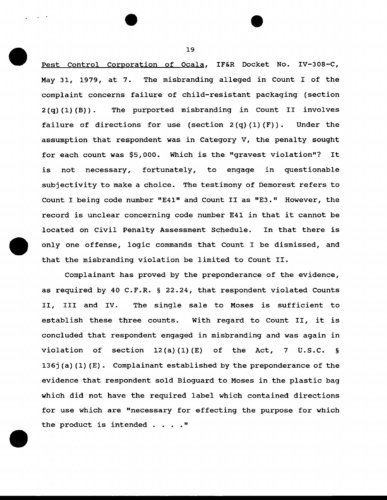Pest Control Corporation of Ocala, IF&R Docket No. IV-308-C, May 31, 1979, at 7. The misbranding alleged in Count I of the complaint concerns failure of child-resistant packaging (section 2 (q) (1) (B)). The purported misbranding in Count II involves failure of directions for use (section  $2(q)(1)(F)$ ). Under the assumption that respondent was in Category V, the penalty sought for each count was \$5,000. Which is the "gravest violation"? It is not necessary, fortunately, to engage in questionable subjectivity to make a choice. The testimony of Demorest refers to Count I being code number "E41" and Count II as "E3." However, the record is unclear concerning code number E41 in that it cannot be located on Civil Penalty Assessment Schedule. In that there is only one offense, logic commands that Count I be dismissed, and that the misbranding violation be limited to Count II.

Complainant has proved by the preponderance of the evidence, as required by 40 C.F.R. § 22.24, that respondent violated Counts II, III and IV. The single sale to Moses is sufficient to establish these three counts. With regard to Count II, it is concluded that respondent engaged in misbranding and was again in violation of section  $12(a)(1)(E)$  of the Act, 7 U.S.C. § 136j (a) (1) (E). Complainant established by the preponderance of the evidence that respondent sold Bioguard to Moses in the plastic bag which did not have the required label which contained directions for use which are "necessary for effecting the purpose for which the product is intended  $\ldots$ ."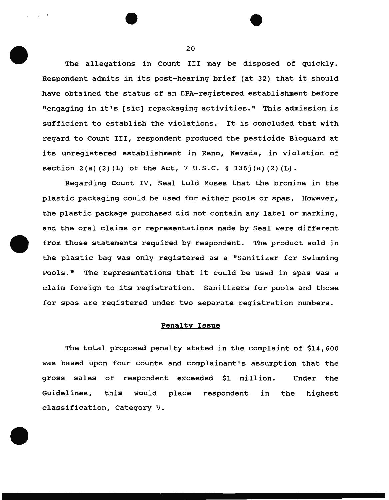The allegations in Count III may be disposed of quickly. Respondent admits in its post-hearing brief (at 32) that it should have obtained the status of an EPA-registered establishment before "engaging in it's (sic] repackaging activities." This admission is sufficient to establish the violations. It is concluded that with regard to Count III, respondent produced the pesticide Bioguard at its unregistered establishment in Reno, Nevada, in violation of section  $2(a)$   $(2)$   $(L)$  of the Act, 7 U.S.C. § 136j $(a)$   $(2)$   $(L)$ .

Regarding Count IV, Seal told Moses that the bromine in the plastic packaging could be used for either pools or spas. However, the plastic package purchased did not contain any label or marking, and the oral claims or representations made by Seal were different from those statements required by respondent. The product sold in the plastic bag was only registered as a "Sanitizer for Swimming Pools." The representations that it could be used in spas was a claim foreign to its registration. Sanitizers for pools and those for spas are registered under two separate registration numbers.

## **PenaltY** Issue

The total proposed penalty stated in the complaint of \$14,600 was based upon four counts and complainant's assumption that the gross sales of respondent exceeded \$1 million. Under the Guidelines, this would place respondent in the highest classification, Category v.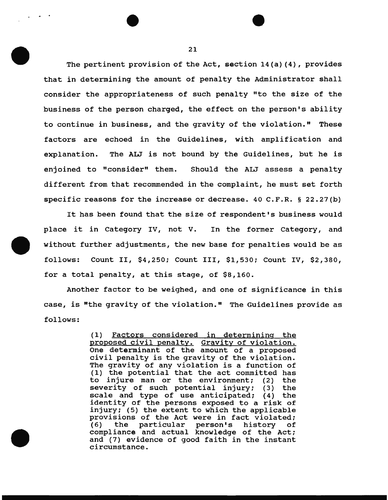The pertinent provision of the Act, section  $14(a)$  (4), provides that in determining the amount of penalty the Administrator shall consider the appropriateness of such penalty "to the size of the business of the person charged, the effect on the person's ability to continue in business, and the gravity of the violation." These factors are echoed in the Guidelines, with amplification and explanation. The ALJ is not bound by the Guidelines, but he is enjoined to "consider" them. Should the ALJ assess a penalty different from that recommended in the complaint, he must set forth specific reasons for the increase or decrease. 40 C.F.R. § 22.27(b)

It has been found that the size of respondent's business would place it in category IV, not V. In the former Category, and without further adjustments, the new base for penalties would be as follows: Count II, \$4,250; Count III, \$1,530; Count IV, \$2,380, for a total penalty, at this stage, of \$8,160.

Another factor to be weighed, and one of significance in this case, is "the gravity of the violation." The Guidelines provide as follows:

> (1) Factors considered in determining the **proposed civil penalty.** Gravity of violation. One determinant of the amount of a proposed civil penalty is the gravity of the violation. The gravity of any violation is a function of (1) the potential that the act committed has to injure man or the environment; (2) the severity of such potential injury; (3) the scale and type of use anticipated; (4) the identity of the persons exposed to a risk of injury; (5) the extent to which the applicable provisions of the Act were in fact violated;<br>(6) the particular person's history of (6) the particular person's history of compliance and actual knowledge of the Act; and (7) evidence of good faith in the instant circumstance.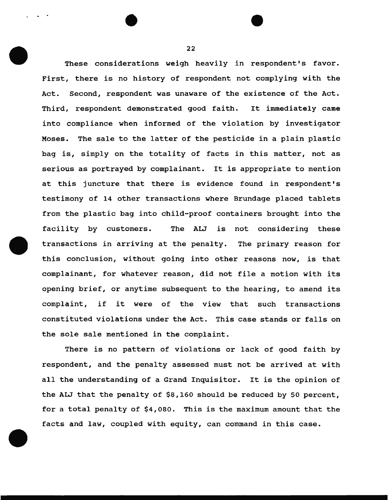These considerations weigh heavily in respondent's favor. First, there is no history of respondent not complying with the Act. Second, respondent was unaware of the existence of the Act. Third, respondent demonstrated good faith. It immediately came into compliance when informed of the violation by investigator Moses. The sale to the latter of the pesticide in a plain plastic bag is, simply on the totality of facts in this matter, not as serious as portrayed by complainant. It is appropriate to mention at this juncture that there is evidence found in respondent's testimony of 14 other transactions where Brundage placed tablets from the plastic bag into child-proof containers brought into the facility by customers. The ALJ is not considering these transactions in arriving at the penalty. The primary reason for this conclusion, without going into other reasons now, is that complainant, for whatever reason, did not file a motion with its opening brief, or anytime subsequent to the hearing, to amend its complaint, if it were of the view that such transactions constituted violations under the Act. This case stands or falls on the sole sale mentioned in the complaint.

There is no pattern of violations or lack of good faith by respondent, and the penalty assessed must not be arrived at with all the understanding of a Grand Inquisitor. It is the opinion of the ALJ that the penalty of \$8,160 should be reduced by 50 percent, for a total penalty of \$4,080. This is the maximum amount that the facts and law, coupled with equity, can command in this case.

22

. .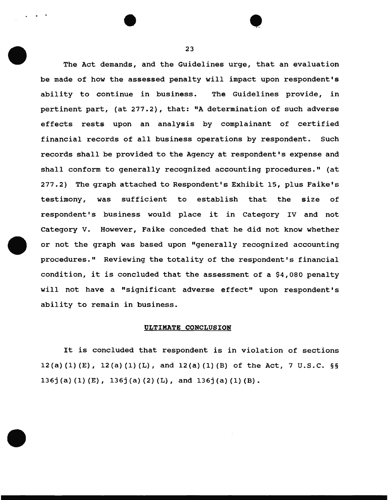The Act demands, and the Guidelines urge, that an evaluation be made of how the assessed penalty will impact upon respondent's ability to continue in business. The Guidelines provide, in pertinent part, (at 277.2), that: "A determination of such adverse effects rests upon an analysis by complainant of certified financial records of all business operations by respondent. Such records shall be provided to the Agency at respondent's expense and shall conform to generally recognized accounting procedures." (at 277.2) The graph attached to Respondent's Exhibit 15, plus Faike's testimony, was sufficient to establish that the size of respondent's business would place it in category IV and not Category V. However, Faike conceded that he did not know whether or not the graph was based upon "generally recognized accounting procedures." Reviewing the totality of the respondent's financial condition, it is concluded that the assessment of a \$4,080 penalty will not have a "significant adverse effect" upon respondent's ability to remain in business.

# ULTIMATE CONCLUSION

It is concluded that respondent is in violation of sections 12(a) (1) (E), 12(a) (1) (L), and 12(a) (1) (B) of the Act, 7 u.s.c. §§ 136j (a) (1) (E), 136j (a) (2) (L), and 136j (a) (1) (B).

. . • 23